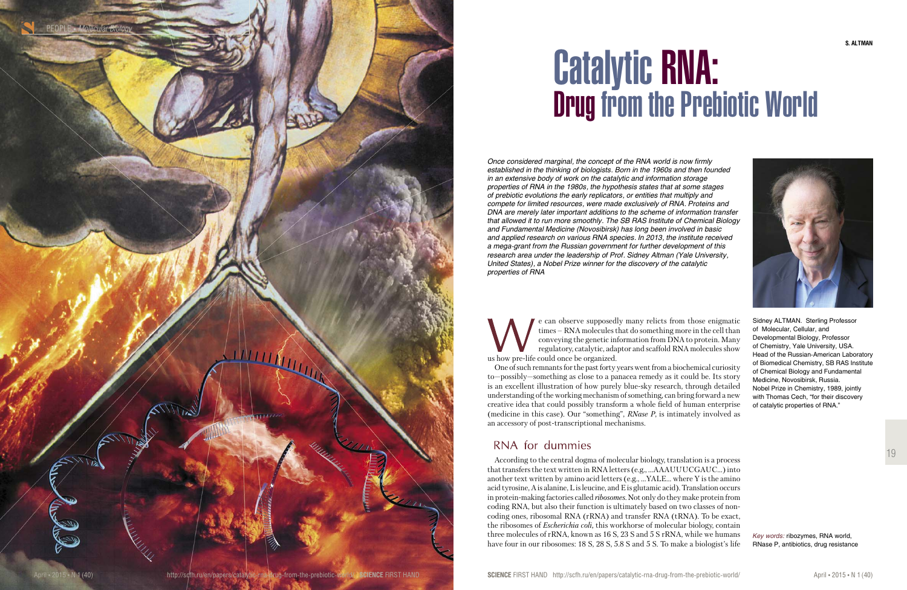19

Sidney ALTMAN. Sterling Professor of Molecular, Cellular, and Developmental Biology, Professor of Chemistry, Yale University, USA. Head of the Russian-American Laboratory of Biomedical Chemistry, SB RAS Institute of Chemical Biology and Fundamental Medicine, Novosibirsk, Russia. Nobel Prize in Chemistry, 1989, jointly with Thomas Cech, "for their discovery of catalytic properties of RNA."

According to the central dogma of molecular biology, translation is a process that transfers the text written in RNA letters (e.g., …AAAUUUCGAUC…) into another text written by amino acid letters (e.g., …YALE… where Y is the amino acid tyrosine, A is alanine, L is leucine, and E is glutamic acid). Translation occurs in protein-making factories called *ribosomes.* Not only do they make protein from coding RNA, but also their function is ultimately based on two classes of noncoding ones, ribosomal RNA (rRNA) and transfer RNA (tRNA). To be exact, the ribosomes of *Escherichia coli,* this workhorse of molecular biology, contain three molecules of rRNA, known as 16 S, 23 S and 5 S rRNA, while we humans have four in our ribosomes: 18 S, 28 S, 5.8 S and 5 S. To make a biologist's life

e can observe supposedly many relicts from those enigmatic times – RNA molecules that do something more in the cell than conveying the genetic information from DNA to protein. Many regulatory, catalytic, adaptor and scaffold RNA molecules show us how pre-life could once be organized.

One of such remnants for the past forty years went from a biochemical curiosity to—possibly—something as close to a panacea remedy as it could be. Its story is an excellent illustration of how purely blue-sky research, through detailed understanding of the working mechanism of something, can bring forward a new creative idea that could possibly transform a whole field of human enterprise (medicine in this case). Our "something", *RNase P*, is intimately involved as an accessory of post-transcriptional mechanisms.

## RNA for dummies



# Catalytic RNA: Drug from the Prebiotic World

*Once considered marginal, the concept of the RNA world is now firmly established in the thinking of biologists. Born in the 1960s and then founded in an extensive body of work on the catalytic and information storage properties of RNA in the 1980s, the hypothesis states that at some stages of prebiotic evolutions the early replicators, or entities that multiply and compete for limited resources, were made exclusively of RNA. Proteins and DNA are merely later important additions to the scheme of information transfer that allowed it to run more smoothly. The SB RAS Institute of Chemical Biology and Fundamental Medicine (Novosibirsk) has long been involved in basic and applied research on various RNA species. In 2013, the institute received a mega-grant from the Russian government for further development of this research area under the leadership of Prof. Sidney Altman (Yale University, United States), a Nobel Prize winner for the discovery of the catalytic properties of RNA*

> *Key words:* ribozymes, RNA world, RNase P, antibiotics, drug resistance

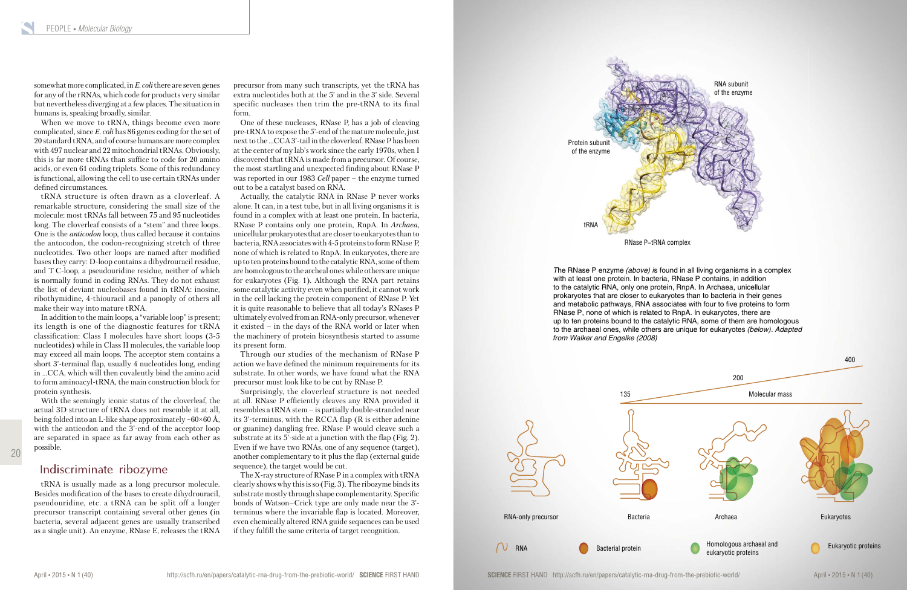20

somewhat more complicated, in *E. coli* there are seven genes for any of the rRNAs, which code for products very similar but nevertheless diverging at a few places. The situation in humans is, speaking broadly, similar.

When we move to tRNA, things become even more complicated, since *E. coli* has 86 genes coding for the set of 20 standard tRNA, and of course humans are more complex with 497 nuclear and 22 mitochondrial tRNAs. Obviously, this is far more tRNAs than suffice to code for 20 amino acids, or even 61 coding triplets. Some of this redundancy is functional, allowing the cell to use certain tRNAs under defined circumstances.

tRNA structure is often drawn as a cloverleaf. A remarkable structure, considering the small size of the molecule: most tRNAs fall between 75 and 95 nucleotides long. The cloverleaf consists of a "stem" and three loops. One is the *anticodon* loop, thus called because it contains the antocodon, the codon-recognizing stretch of three nucleotides. Two other loops are named after modified bases they carry: D-loop contains a dihydrouracil residue, and T C-loop, a pseudouridine residue, neither of which is normally found in coding RNAs. They do not exhaust the list of deviant nucleobases found in tRNA: inosine, ribothymidine, 4-thiouracil and a panoply of others all make their way into mature tRNA.

In addition to the main loops, a "variable loop" is present; its length is one of the diagnostic features for tRNA classification: Class I molecules have short loops (3-5 nucleotides) while in Class II molecules, the variable loop may exceed all main loops. The acceptor stem contains a short 3'-terminal flap, usually 4 nucleotides long, ending in …CCA, which will then covalently bind the amino acid to form aminoacyl-tRNA, the main construction block for protein synthesis.

With the seemingly iconic status of the cloverleaf, the actual 3D structure of tRNA does not resemble it at all, being folded into an L-like shape approximately ~60×60 Å, with the anticodon and the 3'-end of the acceptor loop are separated in space as far away from each other as possible.

#### Indiscriminate ribozyme

tRNA is usually made as a long precursor molecule. Besides modification of the bases to create dihydrouracil, pseudouridine, etc. a tRNA can be split off a longer precursor transcript containing several other genes (in bacteria, several adjacent genes are usually transcribed as a single unit). An enzyme, RNase E, releases the tRNA

precursor from many such transcripts, yet the tRNA has extra nucleotides both at the 5' and in the 3' side. Several specific nucleases then trim the pre-tRNA to its final form.

One of these nucleases, RNase P, has a job of cleaving pre-tRNA to expose the 5'-end of the mature molecule, just next to the …CCA 3'-tail in the cloverleaf. RNase P has been at the center of my lab's work since the early 1970s, when I discovered that tRNA is made from a precursor. Of course, the most startling and unexpected finding about RNase P was reported in our 1983 *Cell* paper – the enzyme turned out to be a catalyst based on RNA.

Actually, the catalytic RNA in RNase P never works alone. It can, in a test tube, but in all living organisms it is found in a complex with at least one protein. In bacteria, RNase P contains only one protein, RnpA. In *Archaea*, unicellular prokaryotes that are closer to eukaryotes than to bacteria, RNA associates with 4-5 proteins to form RNase P, none of which is related to RnpA. In eukaryotes, there are up to ten proteins bound to the catalytic RNA, some of them are homologous to the archeal ones while others are unique for eukaryotes (Fig. 1). Although the RNA part retains some catalytic activity even when purified, it cannot work in the cell lacking the protein component of RNase P. Yet it is quite reasonable to believe that all today's RNases P ultimately evolved from an RNA-only precursor, whenever it existed – in the days of the RNA world or later when the machinery of protein biosynthesis started to assume its present form.

Through our studies of the mechanism of RNase P action we have defined the minimum requirements for its substrate. In other words, we have found what the RNA precursor must look like to be cut by RNase P.

Surprisingly, the cloverleaf structure is not needed at all. RNase P efficiently cleaves any RNA provided it resembles a tRNA stem – is partially double-stranded near its 3'-terminus, with the RCCA flap (R is either adenine or guanine) dangling free. RNase P would cleave such a substrate at its 5'-side at a junction with the flap (Fig. 2). Even if we have two RNAs, one of any sequence (target), another complementary to it plus the flap (external guide sequence), the target would be cut.

The X-ray structure of RNase P in a complex with tRNA clearly shows why this is so (Fig. 3). The ribozyme binds its substrate mostly through shape complementarity. Specific bonds of Watson–Crick type are only made near the 3' terminus where the invariable flap is located. Moreover, even chemically altered RNA guide sequences can be used if they fulfill the same criteria of target recognition.

*T*he RNase P enzyme *(above) i*s found in all living organisms in a complex with at least one protein. In bacteria, RNase P contains, in addition to the catalytic RNA, only one protein, RnpA. In Archaea, unicellular prokaryotes that are closer to eukaryotes than to bacteria in their genes and metabolic pathways, RNA associates with four to five proteins to form RNase P, none of which is related to RnpA. In eukaryotes, there are up to ten proteins bound to the catalytic RNA, some of them are homologous to the archaeal ones, while others are unique for eukaryotes *(below). Adapted from Walker and Engelke (2008)*



RNase P–tRNA complex